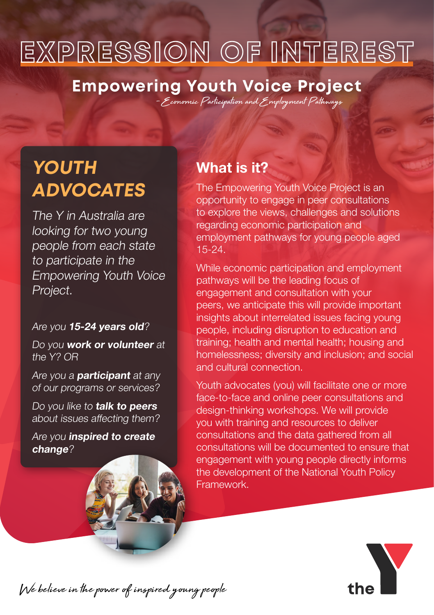# **EXPRESSION OF INTEREST**

### **Empowering Youth Voice Project**

– Economic Participation and Employment Pathways

## **YOUTH ADVOCATES**

The Y in Australia are looking for two young people from each state to participate in the Empowering Youth Voice Project.

#### Are you 15-24 years old?

Do you work or volunteer at the Y? OR

Are you a **participant** at any of our programs or services?

Do you like to talk to peers about issues affecting them?

Are you inspired to create change?

### What is it?

The Empowering Youth Voice Project is an opportunity to engage in peer consultations to explore the views, challenges and solutions regarding economic participation and employment pathways for young people aged 15-24.

While economic participation and employment pathways will be the leading focus of engagement and consultation with your peers, we anticipate this will provide important insights about interrelated issues facing young people, including disruption to education and training; health and mental health; housing and homelessness; diversity and inclusion; and social and cultural connection.

Youth advocates (you) will facilitate one or more face-to-face and online peer consultations and design-thinking workshops. We will provide you with training and resources to deliver consultations and the data gathered from all consultations will be documented to ensure that engagement with young people directly informs the development of the National Youth Policy Framework.



We believe in the power of inspired young people